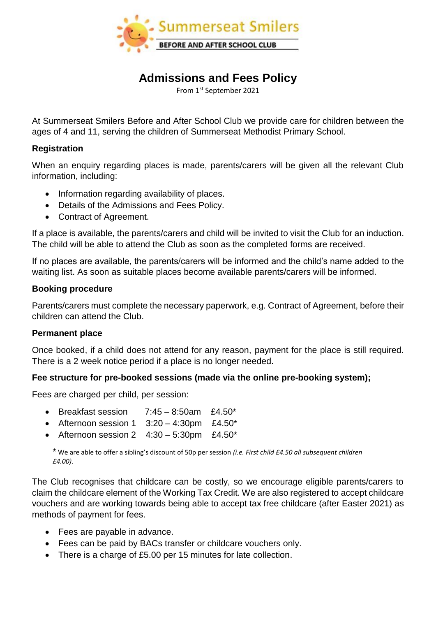

# **Admissions and Fees Policy**

From 1st September 2021

At Summerseat Smilers Before and After School Club we provide care for children between the ages of 4 and 11, serving the children of Summerseat Methodist Primary School.

## **Registration**

When an enquiry regarding places is made, parents/carers will be given all the relevant Club information, including:

- Information regarding availability of places.
- Details of the Admissions and Fees Policy.
- Contract of Agreement.

If a place is available, the parents/carers and child will be invited to visit the Club for an induction. The child will be able to attend the Club as soon as the completed forms are received.

If no places are available, the parents/carers will be informed and the child's name added to the waiting list. As soon as suitable places become available parents/carers will be informed.

## **Booking procedure**

Parents/carers must complete the necessary paperwork, e.g. Contract of Agreement, before their children can attend the Club.

## **Permanent place**

Once booked, if a child does not attend for any reason, payment for the place is still required. There is a 2 week notice period if a place is no longer needed.

## **Fee structure for pre-booked sessions (made via the online pre-booking system);**

Fees are charged per child, per session:

- Breakfast session  $7:45 8:50$ am £4.50\*
- Afternoon session  $1 \quad 3:20 4:30 \text{pm}$  £4.50\*
- Afternoon session  $2 \quad 4:30 5:30$ pm £4.50\*

\* We are able to offer a sibling's discount of 50p per session *(i.e. First child £4.50 all subsequent children £4.00)*.

The Club recognises that childcare can be costly, so we encourage eligible parents/carers to claim the childcare element of the Working Tax Credit. We are also registered to accept childcare vouchers and are working towards being able to accept tax free childcare (after Easter 2021) as methods of payment for fees.

- Fees are payable in advance.
- Fees can be paid by BACs transfer or childcare vouchers only.
- There is a charge of £5.00 per 15 minutes for late collection.